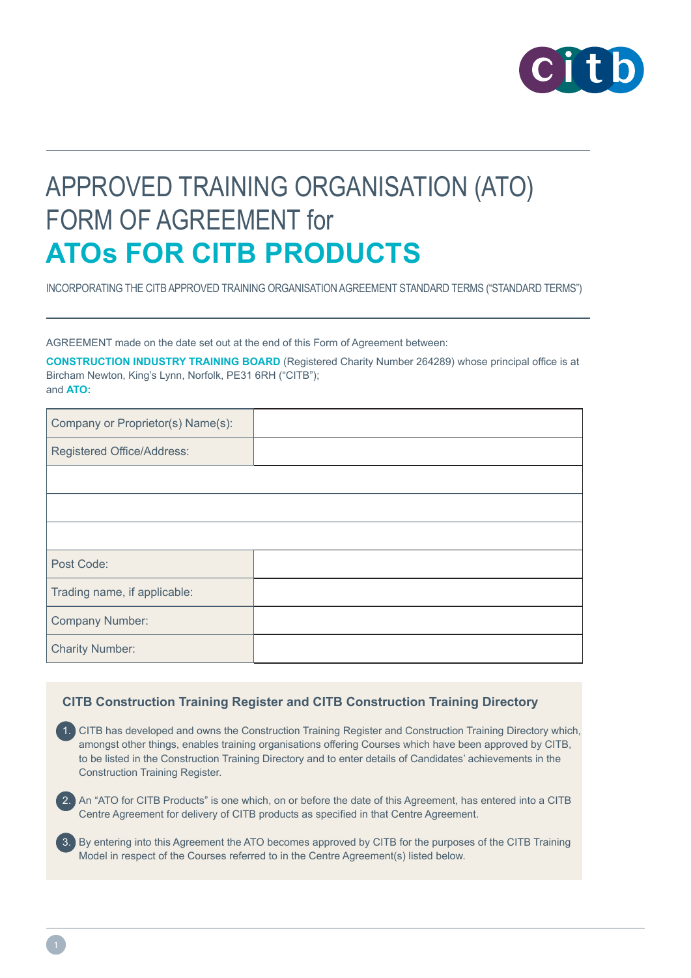

# APPROVED TRAINING ORGANISATION (ATO) FORM OF AGREEMENT for **ATOs FOR CITB PRODUCTS**

INCORPORATING THE CITB APPROVED TRAINING ORGANISATION AGREEMENT STANDARD TERMS ("STANDARD TERMS")

AGREEMENT made on the date set out at the end of this Form of Agreement between:

**CONSTRUCTION INDUSTRY TRAINING BOARD** (Registered Charity Number 264289) whose principal office is at Bircham Newton, King's Lynn, Norfolk, PE31 6RH ("CITB"); and **ATO:**

| Company or Proprietor(s) Name(s): |  |
|-----------------------------------|--|
| Registered Office/Address:        |  |
|                                   |  |
|                                   |  |
|                                   |  |
| Post Code:                        |  |
| Trading name, if applicable:      |  |
| <b>Company Number:</b>            |  |
| <b>Charity Number:</b>            |  |

## **CITB Construction Training Register and CITB Construction Training Directory**

- 1. CITB has developed and owns the Construction Training Register and Construction Training Directory which, amongst other things, enables training organisations offering Courses which have been approved by CITB, to be listed in the Construction Training Directory and to enter details of Candidates' achievements in the Construction Training Register.
- 2. An "ATO for CITB Products" is one which, on or before the date of this Agreement, has entered into a CITB Centre Agreement for delivery of CITB products as specified in that Centre Agreement.
- 3. By entering into this Agreement the ATO becomes approved by CITB for the purposes of the CITB Training Model in respect of the Courses referred to in the Centre Agreement(s) listed below.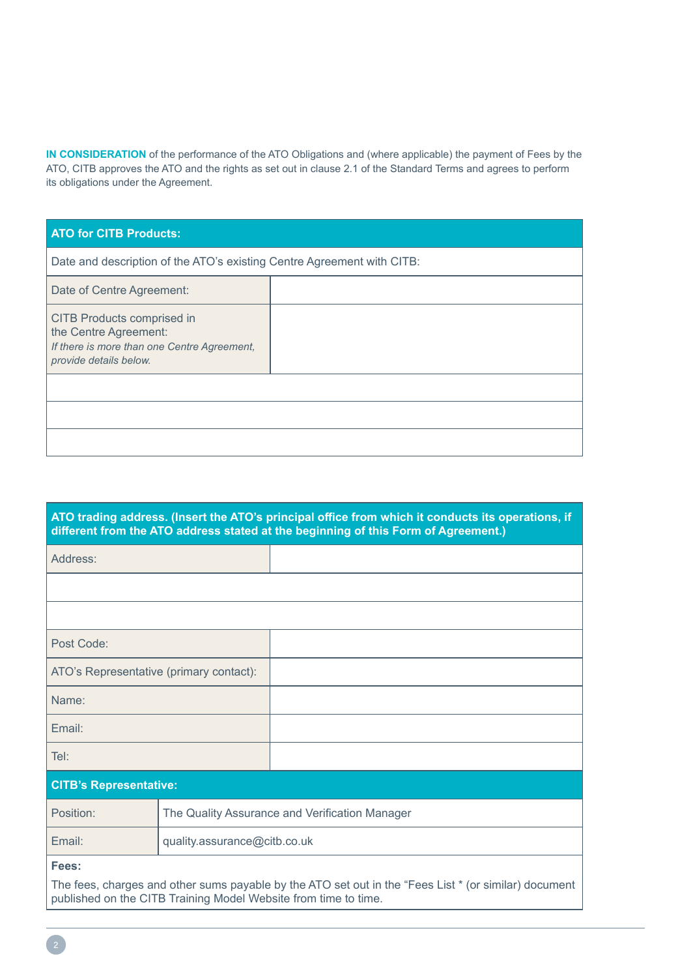**IN CONSIDERATION** of the performance of the ATO Obligations and (where applicable) the payment of Fees by the ATO, CITB approves the ATO and the rights as set out in clause 2.1 of the Standard Terms and agrees to perform its obligations under the Agreement.

### **ATO for CITB Products:**

Date and description of the ATO's existing Centre Agreement with CITB:

| Date of Centre Agreement:                                                                                                           |  |
|-------------------------------------------------------------------------------------------------------------------------------------|--|
| <b>CITB Products comprised in</b><br>the Centre Agreement:<br>If there is more than one Centre Agreement,<br>provide details below. |  |
|                                                                                                                                     |  |
|                                                                                                                                     |  |
|                                                                                                                                     |  |

| ATO trading address. (Insert the ATO's principal office from which it conducts its operations, if<br>different from the ATO address stated at the beginning of this Form of Agreement.) |                                                |  |
|-----------------------------------------------------------------------------------------------------------------------------------------------------------------------------------------|------------------------------------------------|--|
| Address:                                                                                                                                                                                |                                                |  |
|                                                                                                                                                                                         |                                                |  |
|                                                                                                                                                                                         |                                                |  |
| Post Code:                                                                                                                                                                              |                                                |  |
| ATO's Representative (primary contact):                                                                                                                                                 |                                                |  |
| Name:                                                                                                                                                                                   |                                                |  |
| Email:                                                                                                                                                                                  |                                                |  |
| Tel:                                                                                                                                                                                    |                                                |  |
| <b>CITB's Representative:</b>                                                                                                                                                           |                                                |  |
| Position:                                                                                                                                                                               | The Quality Assurance and Verification Manager |  |
| Email:                                                                                                                                                                                  | quality.assurance@citb.co.uk                   |  |
| Fees:<br>The fees, charges and other sums payable by the ATO set out in the "Fees List * (or similar) document<br>published on the CITB Training Model Website from time to time.       |                                                |  |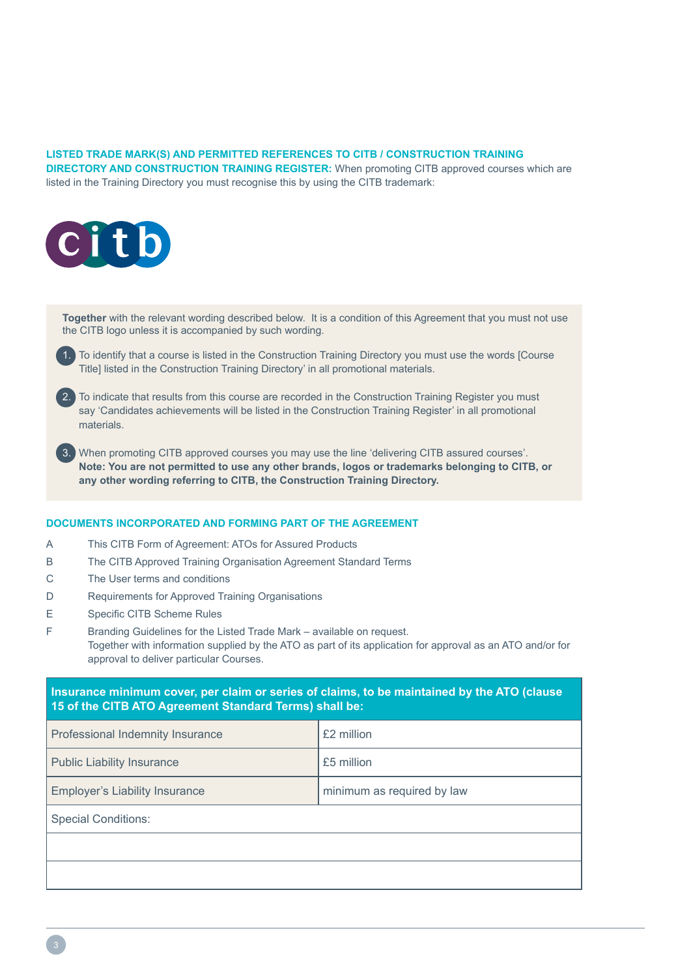#### **LISTED TRADE MARK(S) AND PERMITTED REFERENCES TO CITB / CONSTRUCTION TRAINING DIRECTORY AND CONSTRUCTION TRAINING REGISTER:** When promoting CITB approved courses which are listed in the Training Directory you must recognise this by using the CITB trademark:



**Together** with the relevant wording described below. It is a condition of this Agreement that you must not use the CITB logo unless it is accompanied by such wording.

1. To identify that a course is listed in the Construction Training Directory you must use the words [Course Title] listed in the Construction Training Directory' in all promotional materials.

2. To indicate that results from this course are recorded in the Construction Training Register you must say 'Candidates achievements will be listed in the Construction Training Register' in all promotional materials.

3. When promoting CITB approved courses you may use the line 'delivering CITB assured courses'. **Note: You are not permitted to use any other brands, logos or trademarks belonging to CITB, or any other wording referring to CITB, the Construction Training Directory.**

#### **DOCUMENTS INCORPORATED AND FORMING PART OF THE AGREEMENT**

- A This CITB Form of Agreement: ATOs for Assured Products
- B The CITB Approved Training Organisation Agreement Standard Terms
- C The User terms and conditions
- D Requirements for Approved Training Organisations
- E Specific CITB Scheme Rules
- F Branding Guidelines for the Listed Trade Mark available on request. Together with information supplied by the ATO as part of its application for approval as an ATO and/or for approval to deliver particular Courses.

# **Insurance minimum cover, per claim or series of claims, to be maintained by the ATO (clause 15 of the CITB ATO Agreement Standard Terms) shall be:** Professional Indemnity Insurance **Example 1** £2 million

Public Liability Insurance **Example 20** and E5 million Employer's Liability Insurance minimum as required by law Special Conditions: